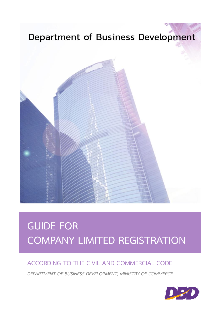## Department of Business Development



# **GUIDE FOR COMPANY LIMITED REGISTRATION**

### **ACCORDING TO THE CIVIL AND COMMERCIAL CODE**

*DEPARTMENT OF BUSINESS DEVELOPMENT, MINISTRY OF COMMERCE* 

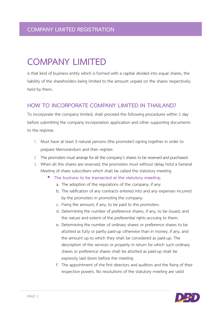## **COMPANY LIMITED**

is that kind of business entity which is formed with a capital divided into equal shares, the liability of the shareholders being limited to the amount unpaid on the shares respectively held by them.

#### **HOW TO INCORPORATE COMPANY LIMITED IN THAILAND?**

To incorporate the company limited, shall proceed the following procedures within 1 day before submitting the company incorporation application and other supporting documents to the registrar.

- 1. Must have at least 3 natural persons (the promoter) signing together in order to prepare Memorandum and then register.
- 2. The promoters must arrange for all the company's shares to be reserved and purchased.
- 3. When all the shares are reserved, the promoters must without delay hold a General Meeting of share subscribers which shall be called the statutory meeting.
	- **The business to be transacted at the statutory meeting:**
		- a. The adoption of the regulations of the company, if any.
		- b. The ratification of any contracts entered into and any expenses incurred by the promoters in promoting the company.
		- c. Fixing the amount, if any, to be paid to the promoters.
		- d. Determining the number of preference shares, if any, to be issued, and the nature and extent of the preferential rights accruing to them.
		- e. Determining the number of ordinary shares or preference shares to be allotted as fully or partly paid-up otherwise than in money, if any, and the amount up to which they shall be considered as paid-up. The description of the services or property in return for which such ordinary shares or preference shares shall be allotted as paid-up shall be expressly laid down before the meeting.
		- f. The appointment of the first directors and auditors and the fixing of their respective powers. No resolutions of the statutory meeting are valid

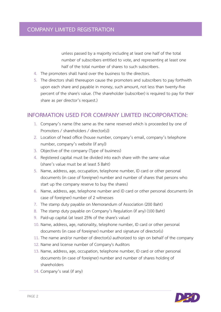unless passed by a majority including at least one half of the total number of subscribers entitled to vote, and representing at least one half of the total number of shares to such subscribers.

- 4. The promoters shall hand over the business to the directors.
- 5. The directors shall thereupon cause the promoters and subscribers to pay forthwith upon each share and payable in money, such amount, not less than twenty-five percent of the share's value. (The shareholder (subscriber) is required to pay for their share as per director's request.)

#### **INFORMATION USED FOR COMPANY LIMITED INCORPORATION:**

- 1. Company's name (the same as the name reserved which is proceeded by one of Promoters / shareholders / director(s))
- 2. Location of head office (house number, company's email, company's telephone number, company's website (if any))
- 3. Objective of the company (Type of business)
- 4. Registered capital must be divided into each share with the same value (share's value must be at least 5 Baht)
- 5. Name, address, age, occupation, telephone number, ID card or other personal documents (in case of foreigner) number and number of shares that persons who start up the company reserve to buy the shares)
- 6. Name, address, age, telephone number and ID card or other personal documents (in case of foreigner) number of 2 witnesses
- 7. The stamp duty payable on Memorandum of Association (200 Baht)
- 8. The stamp duty payable on Company's Regulation (if any) (100 Baht)
- 9. Paid-up capital (at least 25% of the share's value)
- 10. Name, address, age, nationality, telephone number, ID card or other personal documents (in case of foreigner) number and signature of director(s)
- 11. The name and/or number of director(s) authorized to sign on behalf of the company
- 12. Name and license number of Company's Auditors
- 13. Name, address, age, occupation, telephone number, ID card or other personal documents (in case of foreigner) number and number of shares holding of shareholders
- 14. Company's seal (if any)

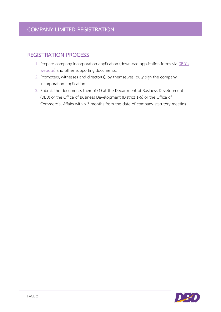#### **REGISTRATION PROCESS**

- 1. Prepare company incorporation application (download application forms via [DBD's](https://www.dbd.go.th/more_news.php?cid=7)  [website\)](https://www.dbd.go.th/more_news.php?cid=7) and other supporting documents.
- 2. Promoters, witnesses and director(s), by themselves, duly sign the company incorporation application.
- 3. Submit the documents thereof (1) at the Department of Business Development (DBD) or the Office of Business Development (District 1-6) or the Office of Commercial Affairs within 3 months from the date of company statutory meeting.

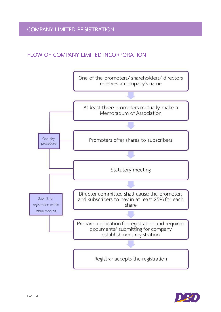#### **FLOW OF COMPANY LIMITED INCORPORATION**



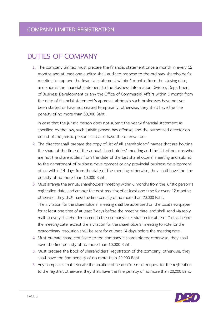## **DUTIES OF COMPANY**

1. The company limited must prepare the financial statement once a month in every 12 months and at least one auditor shall audit to propose to the ordinary shareholder's meeting to approve the financial statement within 4 months from the closing date, and submit the financial statement to the Business Information Division, Department of Business Development or any the Office of Commercial Affairs within 1 month from the date of financial statement's approval although such businesses have not yet been started or have not ceased temporarily; otherwise, they shall have the fine penalty of no more than 50,000 Baht.

In case that the juristic person does not submit the yearly financial statement as specified by the law, such juristic person has offense, and the authorized director on behalf of the juristic person shall also have the offense too.

- 2. The director shall prepare the copy of list of all shareholders' names that are holding the share at the time of the annual shareholders' meeting and the list of persons who are not the shareholders from the date of the last shareholders' meeting and submit to the department of business development or any provincial business development office within 14 days from the date of the meeting; otherwise, they shall have the fine penalty of no more than 10,000 Baht.
- 3. Must arrange the annual shareholders' meeting within 6 months from the juristic person's registration date, and arrange the next meeting of at least one time for every 12 months; otherwise, they shall have the fine penalty of no more than 20,000 Baht. The invitation for the shareholders' meeting shall be advertised on the local newspaper for at least one time of at least 7 days before the meeting date, and shall send via reply mail to every shareholder named in the company's registration for at least 7 days before the meeting date, except the invitation for the shareholders' meeting to vote for the extraordinary resolution shall be sent for at least 14 days before the meeting date.
- 4. Must prepare share certificate to the company's shareholders; otherwise, they shall have the fine penalty of no more than 10,000 Baht.
- 5. Must prepare the book of shareholders' registration of the company; otherwise, they shall have the fine penalty of no more than 20,000 Baht.
- 6. Any companies that relocate the location of head office must request for the registration to the registrar; otherwise, they shall have the fine penalty of no more than 20,000 Baht.

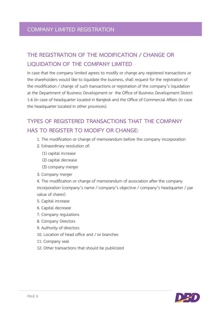#### **COMPANY LIMITED REGISTRATION**

## **THE REGISTRATION OF THE MODIFICATION / CHANGE OR LIQUIDATION OF THE COMPANY LIMITED**

In case that the company limited agrees to modify or change any registered transactions or the shareholders would like to liquidate the business, shall request for the registration of the modification / change of such transactions or registration of the company's liquidation at the Department of Business Development or the Office of Business Development District 1-6 (in case of headquarter located in Bangkok and the Office of Commercial Affairs (in case the headquarter located in other provinces).

## **TYPES OF REGISTERED TRANSACTIONS THAT THE COMPANY HAS TO REGISTER TO MODIFY OR CHANGE:**

- 1. The modification or change of memorandum before the company incorporation
- 2. Extraordinary resolution of:
	- (1) capital increase
	- (2) capital decrease
	- (3) company merger
- 3. Company merger

4. The modification or change of memorandum of association after the company incorporation (company's name / company's objective / company's headquarter / par value of shares)

- 5. Capital increase
- 6. Capital decrease
- 7. Company regulations
- 8. Company Directors
- 9. Authority of directors
- 10. Location of head office and / or branches
- 11. Company seal
- 12. Other transactions that should be publicized

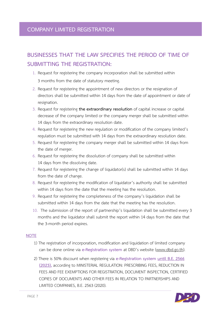#### **COMPANY LIMITED REGISTRATION**

## **BUSINESSES THAT THE LAW SPECIFIES THE PERIOD OF TIME OF SUBMITTING THE REGISTRATION:**

- 1. Request for registering the company incorporation shall be submitted within 3 months from the date of statutory meeting.
- 2. Request for registering the appointment of new directors or the resignation of directors shall be submitted within 14 days from the date of appointment or date of resignation.
- 3. Request for registering **the extraordinary resolution** of capital increase or capital decrease of the company limited or the company merger shall be submitted within 14 days from the extraordinary resolution date.
- 4. Request for registering the new regulation or modification of the company limited's regulation must be submitted with 14 days from the extraordinary resolution date.
- 5. Request for registering the company merger shall be submitted within 14 days from the date of merger.
- 6. Request for registering the dissolution of company shall be submitted within 14 days from the dissolving date.
- 7. Request for registering the change of liquidator(s) shall be submitted within 14 days from the date of change.
- 8. Request for registering the modification of liquidator's authority shall be submitted within 14 days from the date that the meeting has the resolution.
- 9. Request for registering the completeness of the company's liquidation shall be submitted within 14 days from the date that the meeting has the resolution.
- 10. The submission of the report of partnership's liquidation shall be submitted every 3 months and the liquidator shall submit the report within 14 days from the date that the 3-month period expires.

#### **NOTE**

- 1) The registration of incorporation, modification and liquidation of limited company can be done online via **e-Registration system** at DBD's website [\(www.dbd.go.th\)](http://www.dbd.go.th/).
- 2) There is 50% discount when registering via **e-Registration system until B.E. 2566 (2023),** according to MINISTERIAL REGULATION: PRESCRIBING FEES, REDUCTION IN FEES AND FEE EXEMPTIONS FOR REGISTRATION, DOCUMENT INSPECTION, CERTIFIED COPIES OF DOCUMENTS AND OTHER FEES IN RELATION TO PARTNERSHIPS AND LIMITED COMPANIES, B.E. 2563 (2020).

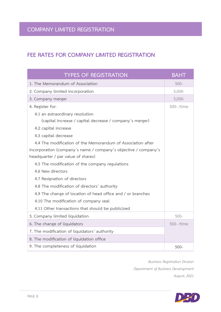#### **FEE RATES FOR COMPANY LIMITED REGISTRATION**

| <b>TYPES OF REGISTRATION</b>                                    | <b>BAHT</b> |
|-----------------------------------------------------------------|-------------|
| 1. The Memorandum of Association                                | $500 -$     |
| 2. Company limited incorporation                                | $5,000-$    |
| 3. Company merger                                               | $5,000-$    |
| 4. Register for:                                                | 500-/time   |
| 4.1 an extraordinary resolution                                 |             |
| (capital increase / capital decrease / company's merger)        |             |
| 4.2 capital increase                                            |             |
| 4.3 capital decrease                                            |             |
| 4.4 The modification of the Memorandum of Association after     |             |
| Incorporation (company's name / company's objective / company's |             |
| headquarter / par value of shares)                              |             |
| 4.5 The modification of the company regulations                 |             |
| 4.6 New directors                                               |             |
| 4.7 Resignation of directors                                    |             |
| 4.8 The modification of directors' authority                    |             |
| 4.9 The change of location of head office and / or branches     |             |
| 4.10 The modification of company seal                           |             |
| 4.11 Other transactions that should be publicized               |             |
| 5. Company limited liquidation                                  | $500 -$     |
| 6. The change of liquidators                                    | 500-/time   |
| 7. The modification of liquidators' authority                   |             |
| 8. The modification of liquidation office                       |             |
| 9. The completeness of liquidation                              | $500 -$     |

*Business Registration Division Department of Business Development August, 2021*